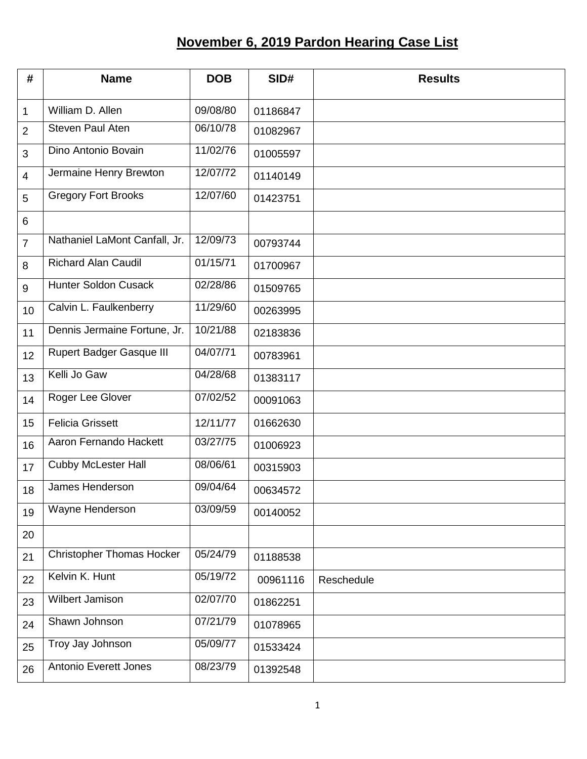## **November 6, 2019 Pardon Hearing Case List**

| #               | <b>Name</b>                      | <b>DOB</b>         | SID#     | <b>Results</b> |
|-----------------|----------------------------------|--------------------|----------|----------------|
| 1               | William D. Allen                 | 09/08/80           | 01186847 |                |
| 2               | <b>Steven Paul Aten</b>          | 06/10/78           | 01082967 |                |
| 3               | Dino Antonio Bovain              | 11/02/76           | 01005597 |                |
| $\overline{4}$  | Jermaine Henry Brewton           | 12/07/72           | 01140149 |                |
| 5               | <b>Gregory Fort Brooks</b>       | 12/07/60           | 01423751 |                |
| 6               |                                  |                    |          |                |
| $\overline{7}$  | Nathaniel LaMont Canfall, Jr.    | 12/09/73           | 00793744 |                |
| 8               | <b>Richard Alan Caudil</b>       | 01/15/71           | 01700967 |                |
| 9               | <b>Hunter Soldon Cusack</b>      | 02/28/86           | 01509765 |                |
| 10 <sup>1</sup> | Calvin L. Faulkenberry           | 11/29/60           | 00263995 |                |
| 11              | Dennis Jermaine Fortune, Jr.     | 10/21/88           | 02183836 |                |
| 12              | <b>Rupert Badger Gasque III</b>  | 04/07/71           | 00783961 |                |
| 13              | Kelli Jo Gaw                     | 04/28/68           | 01383117 |                |
| 14              | Roger Lee Glover                 | 07/02/52           | 00091063 |                |
| 15              | <b>Felicia Grissett</b>          | 12/11/77           | 01662630 |                |
| 16              | Aaron Fernando Hackett           | 03/27/75           | 01006923 |                |
| 17              | <b>Cubby McLester Hall</b>       | 08/06/61           | 00315903 |                |
| 18              | James Henderson                  | 09/04/64           | 00634572 |                |
| 19              | Wayne Henderson                  | $\frac{03}{09/59}$ | 00140052 |                |
| 20              |                                  |                    |          |                |
| 21              | <b>Christopher Thomas Hocker</b> | 05/24/79           | 01188538 |                |
| 22              | Kelvin K. Hunt                   | 05/19/72           | 00961116 | Reschedule     |
| 23              | Wilbert Jamison                  | 02/07/70           | 01862251 |                |
| 24              | Shawn Johnson                    | 07/21/79           | 01078965 |                |
| 25              | Troy Jay Johnson                 | 05/09/77           | 01533424 |                |
| 26              | <b>Antonio Everett Jones</b>     | 08/23/79           | 01392548 |                |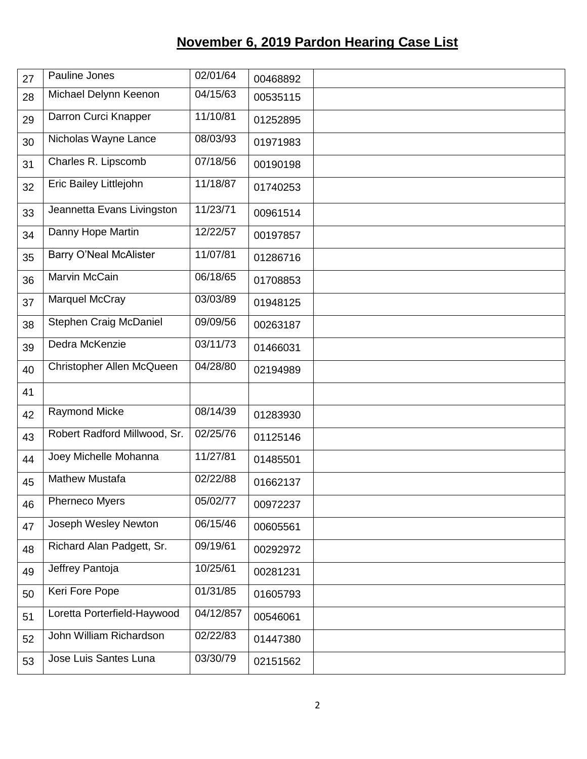## **November 6, 2019 Pardon Hearing Case List**

| 27 | Pauline Jones                 | 02/01/64               | 00468892 |  |
|----|-------------------------------|------------------------|----------|--|
| 28 | Michael Delynn Keenon         | $\overline{0}$ 4/15/63 | 00535115 |  |
| 29 | Darron Curci Knapper          | 11/10/81               | 01252895 |  |
| 30 | Nicholas Wayne Lance          | 08/03/93               | 01971983 |  |
| 31 | Charles R. Lipscomb           | 07/18/56               | 00190198 |  |
| 32 | Eric Bailey Littlejohn        | 11/18/87               | 01740253 |  |
| 33 | Jeannetta Evans Livingston    | 11/23/71               | 00961514 |  |
| 34 | Danny Hope Martin             | 12/22/57               | 00197857 |  |
| 35 | <b>Barry O'Neal McAlister</b> | 11/07/81               | 01286716 |  |
| 36 | Marvin McCain                 | 06/18/65               | 01708853 |  |
| 37 | Marquel McCray                | 03/03/89               | 01948125 |  |
| 38 | Stephen Craig McDaniel        | 09/09/56               | 00263187 |  |
| 39 | Dedra McKenzie                | 03/11/73               | 01466031 |  |
| 40 | Christopher Allen McQueen     | 04/28/80               | 02194989 |  |
| 41 |                               |                        |          |  |
| 42 | <b>Raymond Micke</b>          | 08/14/39               | 01283930 |  |
| 43 | Robert Radford Millwood, Sr.  | 02/25/76               | 01125146 |  |
| 44 | Joey Michelle Mohanna         | 11/27/81               | 01485501 |  |
| 45 | <b>Mathew Mustafa</b>         | 02/22/88               | 01662137 |  |
| 46 | Pherneco Myers                | 05/02/77               | 00972237 |  |
| 47 | Joseph Wesley Newton          | 06/15/46               | 00605561 |  |
| 48 | Richard Alan Padgett, Sr.     | 09/19/61               | 00292972 |  |
| 49 | Jeffrey Pantoja               | 10/25/61               | 00281231 |  |
| 50 | Keri Fore Pope                | 01/31/85               | 01605793 |  |
| 51 | Loretta Porterfield-Haywood   | 04/12/857              | 00546061 |  |
| 52 | John William Richardson       | 02/22/83               | 01447380 |  |
| 53 | Jose Luis Santes Luna         | 03/30/79               | 02151562 |  |